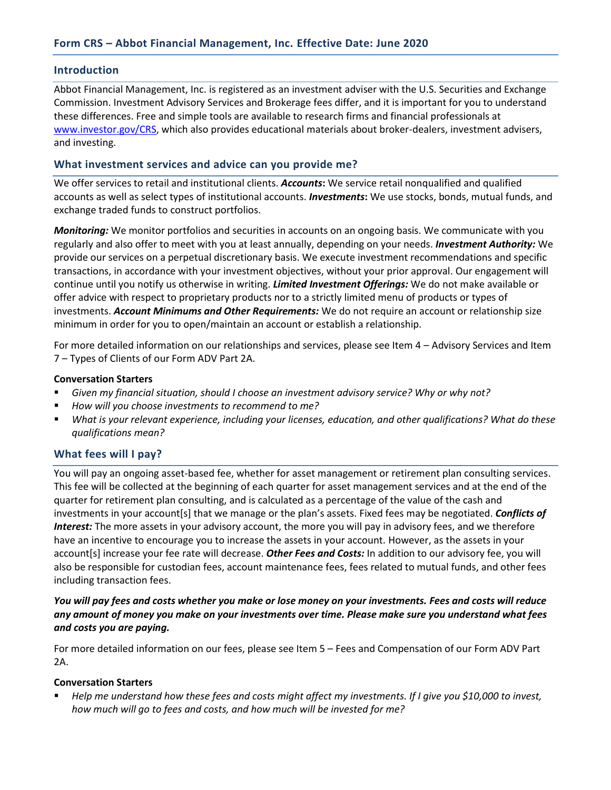#### **Introduction**

Abbot Financial Management, Inc. is registered as an investment adviser with the U.S. Securities and Exchange Commission. Investment Advisory Services and Brokerage fees differ, and it is important for you to understand these differences. Free and simple tools are available to research firms and financial professionals at [www.investor.gov/CRS,](http://www.investor.gov/CRS) which also provides educational materials about broker-dealers, investment advisers, and investing.

## **What investment services and advice can you provide me?**

We offer services to retail and institutional clients. *Accounts***:** We service retail nonqualified and qualified accounts as well as select types of institutional accounts. *Investments***:** We use stocks, bonds, mutual funds, and exchange traded funds to construct portfolios.

*Monitoring:* We monitor portfolios and securities in accounts on an ongoing basis. We communicate with you regularly and also offer to meet with you at least annually, depending on your needs. *Investment Authority:* We provide our services on a perpetual discretionary basis. We execute investment recommendations and specific transactions, in accordance with your investment objectives, without your prior approval. Our engagement will continue until you notify us otherwise in writing. *Limited Investment Offerings:* We do not make available or offer advice with respect to proprietary products nor to a strictly limited menu of products or types of investments. *Account Minimums and Other Requirements:* We do not require an account or relationship size minimum in order for you to open/maintain an account or establish a relationship.

For more detailed information on our relationships and services, please see Item 4 – Advisory Services and Item 7 – Types of Clients of our Form ADV Part 2A.

#### **Conversation Starters**

- *Given my financial situation, should I choose an investment advisory service? Why or why not?*
- *How will you choose investments to recommend to me?*
- *What is your relevant experience, including your licenses, education, and other qualifications? What do these qualifications mean?*

## **What fees will I pay?**

You will pay an ongoing asset-based fee, whether for asset management or retirement plan consulting services. This fee will be collected at the beginning of each quarter for asset management services and at the end of the quarter for retirement plan consulting, and is calculated as a percentage of the value of the cash and investments in your account[s] that we manage or the plan's assets. Fixed fees may be negotiated. *Conflicts of Interest:* The more assets in your advisory account, the more you will pay in advisory fees, and we therefore have an incentive to encourage you to increase the assets in your account. However, as the assets in your account[s] increase your fee rate will decrease. *Other Fees and Costs:* In addition to our advisory fee, you will also be responsible for custodian fees, account maintenance fees, fees related to mutual funds, and other fees including transaction fees.

*You will pay fees and costs whether you make or lose money on your investments. Fees and costs will reduce any amount of money you make on your investments over time. Please make sure you understand what fees and costs you are paying.* 

For more detailed information on our fees, please see Item 5 – Fees and Compensation of our Form ADV Part  $2A$ 

#### **Conversation Starters**

▪ *Help me understand how these fees and costs might affect my investments. If I give you \$10,000 to invest, how much will go to fees and costs, and how much will be invested for me?*